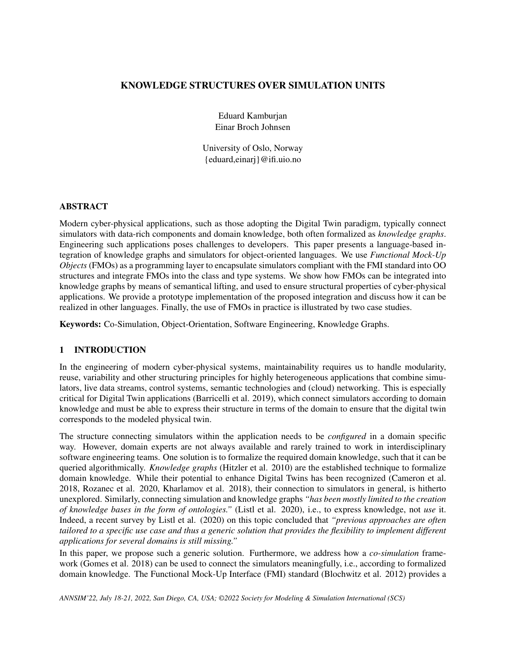## KNOWLEDGE STRUCTURES OVER SIMULATION UNITS

Eduard Kamburjan Einar Broch Johnsen

University of Oslo, Norway {eduard,einarj}@ifi.uio.no

### ABSTRACT

Modern cyber-physical applications, such as those adopting the Digital Twin paradigm, typically connect simulators with data-rich components and domain knowledge, both often formalized as *knowledge graphs*. Engineering such applications poses challenges to developers. This paper presents a language-based integration of knowledge graphs and simulators for object-oriented languages. We use *Functional Mock-Up Objects* (FMOs) as a programming layer to encapsulate simulators compliant with the FMI standard into OO structures and integrate FMOs into the class and type systems. We show how FMOs can be integrated into knowledge graphs by means of semantical lifting, and used to ensure structural properties of cyber-physical applications. We provide a prototype implementation of the proposed integration and discuss how it can be realized in other languages. Finally, the use of FMOs in practice is illustrated by two case studies.

Keywords: Co-Simulation, Object-Orientation, Software Engineering, Knowledge Graphs.

## 1 INTRODUCTION

In the engineering of modern cyber-physical systems, maintainability requires us to handle modularity, reuse, variability and other structuring principles for highly heterogeneous applications that combine simulators, live data streams, control systems, semantic technologies and (cloud) networking. This is especially critical for Digital Twin applications [\(Barricelli et al. 2019\)](#page-10-0), which connect simulators according to domain knowledge and must be able to express their structure in terms of the domain to ensure that the digital twin corresponds to the modeled physical twin.

The structure connecting simulators within the application needs to be *configured* in a domain specific way. However, domain experts are not always available and rarely trained to work in interdisciplinary software engineering teams. One solution is to formalize the required domain knowledge, such that it can be queried algorithmically. *Knowledge graphs* [\(Hitzler et al. 2010\)](#page-10-1) are the established technique to formalize domain knowledge. While their potential to enhance Digital Twins has been recognized [\(Cameron et al.](#page-10-2) [2018,](#page-10-2) [Rozanec et al. 2020,](#page-11-0) [Kharlamov et al. 2018\)](#page-11-1), their connection to simulators in general, is hitherto unexplored. Similarly, connecting simulation and knowledge graphs *"has been mostly limited to the creation of knowledge bases in the form of ontologies."* [\(Listl et al. 2020\)](#page-11-2), i.e., to express knowledge, not *use* it. Indeed, a recent survey by [Listl et al. \(2020\)](#page-11-2) on this topic concluded that *"previous approaches are often tailored to a specific use case and thus a generic solution that provides the flexibility to implement different applications for several domains is still missing."*

In this paper, we propose such a generic solution. Furthermore, we address how a *co-simulation* framework [\(Gomes et al. 2018\)](#page-10-3) can be used to connect the simulators meaningfully, i.e., according to formalized domain knowledge. The Functional Mock-Up Interface (FMI) standard [\(Blochwitz et al. 2012\)](#page-10-4) provides a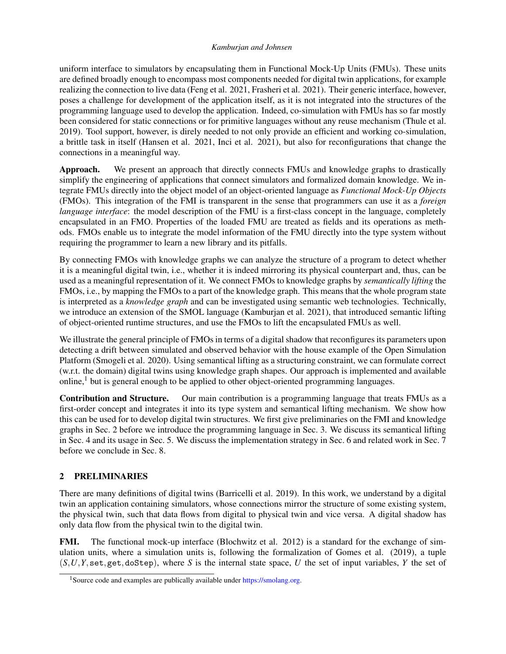uniform interface to simulators by encapsulating them in Functional Mock-Up Units (FMUs). These units are defined broadly enough to encompass most components needed for digital twin applications, for example realizing the connection to live data [\(Feng et al. 2021,](#page-10-5) [Frasheri et al. 2021\)](#page-10-6). Their generic interface, however, poses a challenge for development of the application itself, as it is not integrated into the structures of the programming language used to develop the application. Indeed, co-simulation with FMUs has so far mostly been considered for static connections or for primitive languages without any reuse mechanism [\(Thule et al.](#page-11-3) [2019\)](#page-11-3). Tool support, however, is direly needed to not only provide an efficient and working co-simulation, a brittle task in itself [\(Hansen et al. 2021,](#page-10-7) [Inci et al. 2021\)](#page-11-4), but also for reconfigurations that change the connections in a meaningful way.

Approach. We present an approach that directly connects FMUs and knowledge graphs to drastically simplify the engineering of applications that connect simulators and formalized domain knowledge. We integrate FMUs directly into the object model of an object-oriented language as *Functional Mock-Up Objects* (FMOs). This integration of the FMI is transparent in the sense that programmers can use it as a *foreign language interface*: the model description of the FMU is a first-class concept in the language, completely encapsulated in an FMO. Properties of the loaded FMU are treated as fields and its operations as methods. FMOs enable us to integrate the model information of the FMU directly into the type system without requiring the programmer to learn a new library and its pitfalls.

By connecting FMOs with knowledge graphs we can analyze the structure of a program to detect whether it is a meaningful digital twin, i.e., whether it is indeed mirroring its physical counterpart and, thus, can be used as a meaningful representation of it. We connect FMOs to knowledge graphs by *semantically lifting* the FMOs, i.e., by mapping the FMOs to a part of the knowledge graph. This means that the whole program state is interpreted as a *knowledge graph* and can be investigated using semantic web technologies. Technically, we introduce an extension of the SMOL language [\(Kamburjan et al. 2021\)](#page-11-5), that introduced semantic lifting of object-oriented runtime structures, and use the FMOs to lift the encapsulated FMUs as well.

We illustrate the general principle of FMOs in terms of a digital shadow that reconfigures its parameters upon detecting a drift between simulated and observed behavior with the house example of the Open Simulation Platform [\(Smogeli et al. 2020\)](#page-11-6). Using semantical lifting as a structuring constraint, we can formulate correct (w.r.t. the domain) digital twins using knowledge graph shapes. Our approach is implemented and available  $\text{online}$ , but is general enough to be applied to other object-oriented programming languages.

Contribution and Structure. Our main contribution is a programming language that treats FMUs as a first-order concept and integrates it into its type system and semantical lifting mechanism. We show how this can be used for to develop digital twin structures. We first give preliminaries on the FMI and knowledge graphs in Sec. [2](#page-1-1) before we introduce the programming language in Sec. [3.](#page-2-0) We discuss its semantical lifting in Sec. [4](#page-4-0) and its usage in Sec. [5.](#page-6-0) We discuss the implementation strategy in Sec. [6](#page-8-0) and related work in Sec. [7](#page-9-0) before we conclude in Sec. [8.](#page-9-1)

# <span id="page-1-1"></span>2 PRELIMINARIES

There are many definitions of digital twins [\(Barricelli et al. 2019\)](#page-10-0). In this work, we understand by a digital twin an application containing simulators, whose connections mirror the structure of some existing system, the physical twin, such that data flows from digital to physical twin and vice versa. A digital shadow has only data flow from the physical twin to the digital twin.

FMI. The functional mock-up interface [\(Blochwitz et al. 2012\)](#page-10-4) is a standard for the exchange of simulation units, where a simulation units is, following the formalization of [Gomes et al. \(2019\),](#page-10-8) a tuple (*S*,*U*,*Y*,set,get,doStep), where *S* is the internal state space, *U* the set of input variables, *Y* the set of

<span id="page-1-0"></span><sup>&</sup>lt;sup>1</sup>Source code and examples are publically available under [https://smolang.org.](https://smolang.org)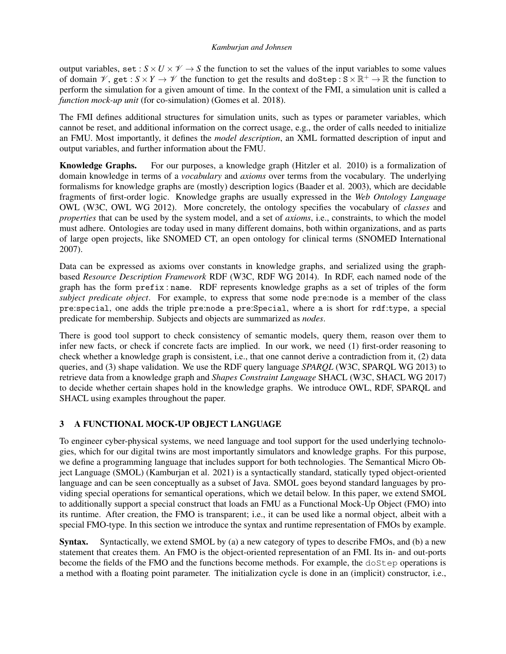output variables, set :  $S \times U \times V \rightarrow S$  the function to set the values of the input variables to some values of domain  $\mathscr{V}$ , get :  $S \times Y \to \mathscr{V}$  the function to get the results and doStep:  $S \times \mathbb{R}^+ \to \mathbb{R}$  the function to perform the simulation for a given amount of time. In the context of the FMI, a simulation unit is called a *function mock-up unit* (for co-simulation) [\(Gomes et al. 2018\)](#page-10-3).

The FMI defines additional structures for simulation units, such as types or parameter variables, which cannot be reset, and additional information on the correct usage, e.g., the order of calls needed to initialize an FMU. Most importantly, it defines the *model description*, an XML formatted description of input and output variables, and further information about the FMU.

Knowledge Graphs. For our purposes, a knowledge graph [\(Hitzler et al. 2010\)](#page-10-1) is a formalization of domain knowledge in terms of a *vocabulary* and *axioms* over terms from the vocabulary. The underlying formalisms for knowledge graphs are (mostly) description logics [\(Baader et al. 2003\)](#page-10-9), which are decidable fragments of first-order logic. Knowledge graphs are usually expressed in the *Web Ontology Language* OWL [\(W3C, OWL WG 2012\)](#page-11-7). More concretely, the ontology specifies the vocabulary of *classes* and *properties* that can be used by the system model, and a set of *axioms*, i.e., constraints, to which the model must adhere. Ontologies are today used in many different domains, both within organizations, and as parts of large open projects, like SNOMED CT, an open ontology for clinical terms [\(SNOMED International](#page-11-8) [2007\)](#page-11-8).

Data can be expressed as axioms over constants in knowledge graphs, and serialized using the graphbased *Resource Description Framework* RDF [\(W3C, RDF WG 2014\)](#page-11-9). In RDF, each named node of the graph has the form prefix : name. RDF represents knowledge graphs as a set of triples of the form *subject predicate object*. For example, to express that some node pre:node is a member of the class pre:special, one adds the triple pre:node a pre:Special, where a is short for rdf:type, a special predicate for membership. Subjects and objects are summarized as *nodes*.

There is good tool support to check consistency of semantic models, query them, reason over them to infer new facts, or check if concrete facts are implied. In our work, we need (1) first-order reasoning to check whether a knowledge graph is consistent, i.e., that one cannot derive a contradiction from it, (2) data queries, and (3) shape validation. We use the RDF query language *SPARQL* [\(W3C, SPARQL WG 2013\)](#page-11-10) to retrieve data from a knowledge graph and *Shapes Constraint Language* SHACL [\(W3C, SHACL WG 2017\)](#page-11-11) to decide whether certain shapes hold in the knowledge graphs. We introduce OWL, RDF, SPARQL and SHACL using examples throughout the paper.

# <span id="page-2-0"></span>3 A FUNCTIONAL MOCK-UP OBJECT LANGUAGE

To engineer cyber-physical systems, we need language and tool support for the used underlying technologies, which for our digital twins are most importantly simulators and knowledge graphs. For this purpose, we define a programming language that includes support for both technologies. The Semantical Micro Object Language (SMOL) [\(Kamburjan et al. 2021\)](#page-11-5) is a syntactically standard, statically typed object-oriented language and can be seen conceptually as a subset of Java. SMOL goes beyond standard languages by providing special operations for semantical operations, which we detail below. In this paper, we extend SMOL to additionally support a special construct that loads an FMU as a Functional Mock-Up Object (FMO) into its runtime. After creation, the FMO is transparent; i.e., it can be used like a normal object, albeit with a special FMO-type. In this section we introduce the syntax and runtime representation of FMOs by example.

Syntax. Syntactically, we extend SMOL by (a) a new category of types to describe FMOs, and (b) a new statement that creates them. An FMO is the object-oriented representation of an FMI. Its in- and out-ports become the fields of the FMO and the functions become methods. For example, the doStep operations is a method with a floating point parameter. The initialization cycle is done in an (implicit) constructor, i.e.,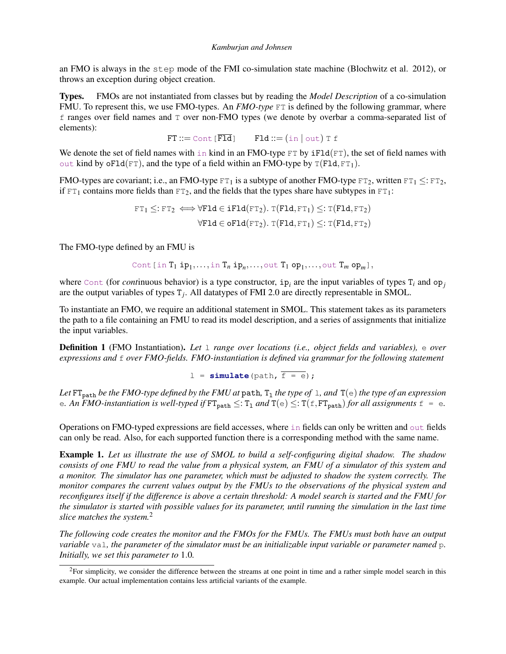an FMO is always in the step mode of the FMI co-simulation state machine [\(Blochwitz et al. 2012\)](#page-10-4), or throws an exception during object creation.

Types. FMOs are not instantiated from classes but by reading the *Model Description* of a co-simulation FMU. To represent this, we use FMO-types. An *FMO-type* FT is defined by the following grammar, where f ranges over field names and T over non-FMO types (we denote by overbar a comma-separated list of elements):

 $FT ::= \text{Cont}[\overline{F1d}]$   $F1d ::= (\text{in} | \text{out}) T f$ 

We denote the set of field names with in kind in an FMO-type  $FT$  by  $iFld(FT)$ , the set of field names with out kind by oFld(FT), and the type of a field within an FMO-type by  $T(FIG, FT<sub>1</sub>)$ .

FMO-types are covariant; i.e., an FMO-type  $FT_1$  is a subtype of another FMO-type  $FT_2$ , written  $FT_1 \leq FF_2$ , if  $FT_1$  contains more fields than  $FT_2$ , and the fields that the types share have subtypes in  $FT_1$ :

$$
\begin{aligned} \texttt{FT}_1 \leq & : \texttt{FT}_2 \iff \forall \texttt{F1d} \in \texttt{iF1d}(\texttt{FT}_2).~\texttt{T}(\texttt{F1d}, \texttt{FT}_1) \leq & : \texttt{T}(\texttt{F1d}, \texttt{FT}_2) \\ \forall \texttt{F1d} \in \texttt{oF1d}(\texttt{FT}_2).~\texttt{T}(\texttt{F1d}, \texttt{FT}_1) \leq & : \texttt{T}(\texttt{F1d}, \texttt{FT}_2) \end{aligned}
$$

The FMO-type defined by an FMU is

$$
\text{Cont} \, [\, \text{in} \, T_1 \, \text{ip}_1, \ldots, \text{in} \, T_n \, \text{ip}_n, \ldots, \text{out} \, T_1 \, \text{op}_1, \ldots, \text{out} \, T_m \, \text{op}_m],
$$

where  $Cont$  (for *continuous behavior*) is a type constructor,  $ip<sub>i</sub>$  are the input variables of types  $T<sub>i</sub>$  and  $op<sub>j</sub>$ are the output variables of types T*<sup>j</sup>* . All datatypes of FMI 2.0 are directly representable in SMOL.

To instantiate an FMO, we require an additional statement in SMOL. This statement takes as its parameters the path to a file containing an FMU to read its model description, and a series of assignments that initialize the input variables.

Definition 1 (FMO Instantiation). *Let* l *range over locations (i.e., object fields and variables),* e *over expressions and* f *over FMO-fields. FMO-instantiation is defined via grammar for the following statement*

$$
1 = \text{simulate}(\text{path}, \overline{f} = e);
$$

Let  $FT_{\text{path}}$  be the FMO-type defined by the FMU at path,  $T_1$  the type of 1, and  $T(e)$  the type of an expression e. An FMO-instantiation is well-typed if  $FT_{path} \leq T_1$  and  $T(e) \leq T(f, FT_{path})$  *for all assignments*  $f = e$ .

Operations on FMO-typed expressions are field accesses, where in fields can only be written and out fields can only be read. Also, for each supported function there is a corresponding method with the same name.

<span id="page-3-1"></span>Example 1. *Let us illustrate the use of SMOL to build a self-configuring digital shadow. The shadow consists of one FMU to read the value from a physical system, an FMU of a simulator of this system and a monitor. The simulator has one parameter, which must be adjusted to shadow the system correctly. The monitor compares the current values output by the FMUs to the observations of the physical system and reconfigures itself if the difference is above a certain threshold: A model search is started and the FMU for the simulator is started with possible values for its parameter, until running the simulation in the last time slice matches the system.*[2](#page-3-0)

*The following code creates the monitor and the FMOs for the FMUs. The FMUs must both have an output variable* val*, the parameter of the simulator must be an initializable input variable or parameter named* p*. Initially, we set this parameter to* 1.0*.*

<span id="page-3-0"></span> ${}^{2}$ For simplicity, we consider the difference between the streams at one point in time and a rather simple model search in this example. Our actual implementation contains less artificial variants of the example.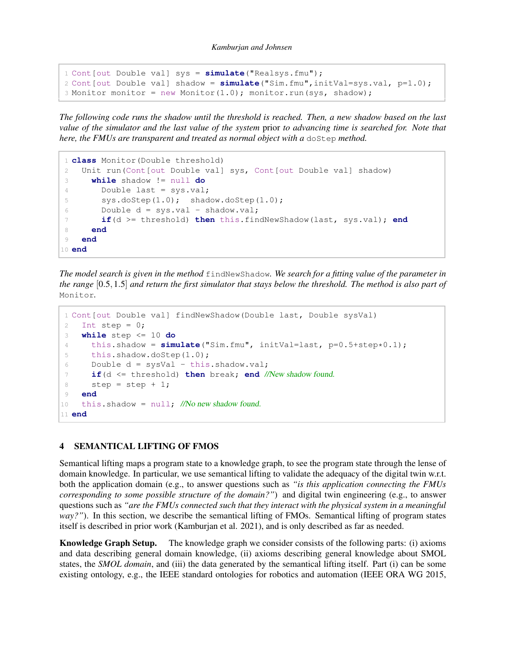```
1 Cont[out Double val] sys = simulate("Realsys.fmu");
2 Cont[out Double val] shadow = simulate("Sim.fmu",initVal=sys.val, p=1.0);
3 Monitor monitor = new Monitor(1.0); monitor.run(sys, shadow);
```
*The following code runs the shadow until the threshold is reached. Then, a new shadow based on the last value of the simulator and the last value of the system* prior *to advancing time is searched for. Note that here, the FMUs are transparent and treated as normal object with a doStep method.* 

```
1 class Monitor(Double threshold)
2 Unit run(Cont[out Double val] sys, Cont[out Double val] shadow)
3 while shadow != null do
4 Double last = sys.val;
5 sys.doStep(1.0); shadow.doStep(1.0);
6 Double d = sys.val - shadow.val;
7 if(d >= threshold) then this.findNewShadow(last, sys.val); end
8 end
9 end
10 end
```
*The model search is given in the method* findNewShadow*. We search for a fitting value of the parameter in the range* [0.5,1.5] *and return the first simulator that stays below the threshold. The method is also part of* Monitor*.*

```
1 Cont[out Double val] findNewShadow(Double last, Double sysVal)
2 Int step = 0;
3 while step <= 10 do
4 this.shadow = simulate("Sim.fmu", initVal=last, p=0.5+step*0.1);
5 this.shadow.doStep(1.0);
6 Double d = sysVal - this.shadow.val;
7 if(d <= threshold) then break; end //New shadow found.
8 step = step + 1;
9 end
10 this.shadow = null; //No new shadow found.
11 end
```
## <span id="page-4-0"></span>4 SEMANTICAL LIFTING OF FMOS

Semantical lifting maps a program state to a knowledge graph, to see the program state through the lense of domain knowledge. In particular, we use semantical lifting to validate the adequacy of the digital twin w.r.t. both the application domain (e.g., to answer questions such as *"is this application connecting the FMUs corresponding to some possible structure of the domain?"*) and digital twin engineering (e.g., to answer questions such as *"are the FMUs connected such that they interact with the physical system in a meaningful way?"*). In this section, we describe the semantical lifting of FMOs. Semantical lifting of program states itself is described in prior work [\(Kamburjan et al. 2021\)](#page-11-5), and is only described as far as needed.

Knowledge Graph Setup. The knowledge graph we consider consists of the following parts: (i) axioms and data describing general domain knowledge, (ii) axioms describing general knowledge about SMOL states, the *SMOL domain*, and (iii) the data generated by the semantical lifting itself. Part (i) can be some existing ontology, e.g., the IEEE standard ontologies for robotics and automation [\(IEEE ORA WG 2015,](#page-10-10)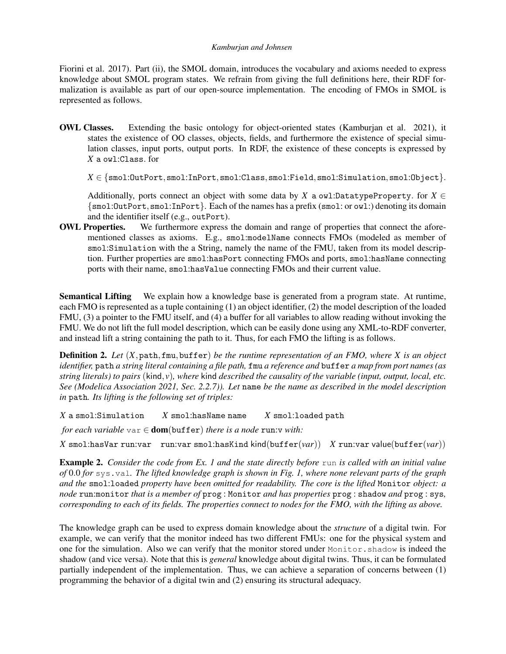[Fiorini et al. 2017\)](#page-10-11). Part (ii), the SMOL domain, introduces the vocabulary and axioms needed to express knowledge about SMOL program states. We refrain from giving the full definitions here, their RDF formalization is available as part of our open-source implementation. The encoding of FMOs in SMOL is represented as follows.

OWL Classes. Extending the basic ontology for object-oriented states [\(Kamburjan et al. 2021\)](#page-11-5), it states the existence of OO classes, objects, fields, and furthermore the existence of special simulation classes, input ports, output ports. In RDF, the existence of these concepts is expressed by *X* a owl:Class. for

 $X \in \{\texttt{smol:OutputPort}, \texttt{smol:InPort}, \texttt{smol:Class}, \texttt{smol:Field}, \texttt{smol:Similaration}, \texttt{smol:Object}\}.$ 

Additionally, ports connect an object with some data by *X* a owl:DatatypeProperty. for  $X \in$ {smol:OutPort,smol:InPort}. Each of the names has a prefix (smol: or owl:) denoting its domain and the identifier itself (e.g., outPort).

OWL Properties. We furthermore express the domain and range of properties that connect the aforementioned classes as axioms. E.g., smol:modelName connects FMOs (modeled as member of smol:Simulation with the a String, namely the name of the FMU, taken from its model description. Further properties are smol:hasPort connecting FMOs and ports, smol:hasName connecting ports with their name, smol:hasValue connecting FMOs and their current value.

Semantical Lifting We explain how a knowledge base is generated from a program state. At runtime, each FMO is represented as a tuple containing (1) an object identifier, (2) the model description of the loaded FMU, (3) a pointer to the FMU itself, and (4) a buffer for all variables to allow reading without invoking the FMU. We do not lift the full model description, which can be easily done using any XML-to-RDF converter, and instead lift a string containing the path to it. Thus, for each FMO the lifting is as follows.

Definition 2. *Let* (*X*,path,fmu,buffer) *be the runtime representation of an FMO, where X is an object identifier,* path *a string literal containing a file path,* fmu *a reference and* buffer *a map from port names (as string literals) to pairs* (kind, *v*)*, where* kind *described the causality of the variable (input, output, local, etc. See [\(Modelica Association 2021,](#page-11-12) Sec. 2.2.7)). Let* name *be the name as described in the model description in* path*. Its lifting is the following set of triples:*

*X* a smol:Simulation *X* smol:hasName name *X* smol:loaded path

*for each variable*  $\forall$ ar  $\in$  **dom**(buffer) *there is a node* run:v *with*:

*X* smol:hasVar run:var run:var smol:hasKind kind(buffer(*var*)) *X* run:var value(buffer(*var*))

<span id="page-5-0"></span>Example 2. *Consider the code from Ex. [1](#page-3-1) and the state directly before* run *is called with an initial value of* 0.0 *for* sys.val*. The lifted knowledge graph is shown in Fig. [1,](#page-6-1) where none relevant parts of the graph and the* smol:loaded *property have been omitted for readability. The core is the lifted* Monitor *object: a node* run:monitor *that is a member of* prog : Monitor *and has properties* prog : shadow *and* prog : sys*, corresponding to each of its fields. The properties connect to nodes for the FMO, with the lifting as above.*

The knowledge graph can be used to express domain knowledge about the *structure* of a digital twin. For example, we can verify that the monitor indeed has two different FMUs: one for the physical system and one for the simulation. Also we can verify that the monitor stored under Monitor.shadow is indeed the shadow (and vice versa). Note that this is *general* knowledge about digital twins. Thus, it can be formulated partially independent of the implementation. Thus, we can achieve a separation of concerns between (1) programming the behavior of a digital twin and (2) ensuring its structural adequacy.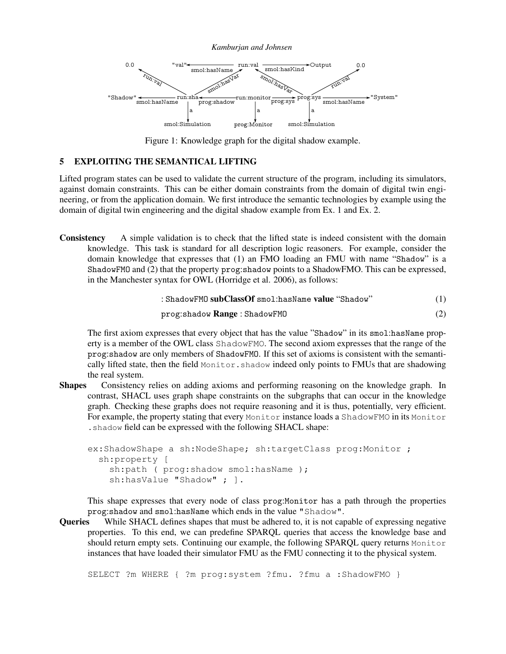

<span id="page-6-1"></span>Figure 1: Knowledge graph for the digital shadow example.

#### <span id="page-6-0"></span>5 EXPLOITING THE SEMANTICAL LIFTING

Lifted program states can be used to validate the current structure of the program, including its simulators, against domain constraints. This can be either domain constraints from the domain of digital twin engineering, or from the application domain. We first introduce the semantic technologies by example using the domain of digital twin engineering and the digital shadow example from Ex. [1](#page-3-1) and Ex. [2.](#page-5-0)

Consistency A simple validation is to check that the lifted state is indeed consistent with the domain knowledge. This task is standard for all description logic reasoners. For example, consider the domain knowledge that expresses that (1) an FMO loading an FMU with name "Shadow" is a ShadowFMO and (2) that the property prog:shadow points to a ShadowFMO. This can be expressed, in the Manchester syntax for OWL [\(Horridge et al. 2006\)](#page-10-12), as follows:

$$
: \texttt{ShadowFMO} \textbf{ subClassOf} \text{ smol:hasName } \textbf{value} \text{ ``Shadow''} \qquad (1)
$$

$$
prog:shadow Range:ShadowFMO \qquad (2)
$$

The first axiom expresses that every object that has the value "Shadow" in its smol:hasName property is a member of the OWL class ShadowFMO. The second axiom expresses that the range of the prog:shadow are only members of ShadowFMO. If this set of axioms is consistent with the semantically lifted state, then the field Monitor. shadow indeed only points to FMUs that are shadowing the real system.

Shapes Consistency relies on adding axioms and performing reasoning on the knowledge graph. In contrast, SHACL uses graph shape constraints on the subgraphs that can occur in the knowledge graph. Checking these graphs does not require reasoning and it is thus, potentially, very efficient. For example, the property stating that every Monitor instance loads a ShadowFMO in its Monitor .shadow field can be expressed with the following SHACL shape:

```
ex:ShadowShape a sh:NodeShape; sh:targetClass prog:Monitor ;
  sh:property [
    sh:path ( prog: shadow smol: hasName );
    sh:hasValue "Shadow" ; ].
```
This shape expresses that every node of class prog:Monitor has a path through the properties prog:shadow and smol:hasName which ends in the value "Shadow".

Queries While SHACL defines shapes that must be adhered to, it is not capable of expressing negative properties. To this end, we can predefine SPARQL queries that access the knowledge base and should return empty sets. Continuing our example, the following SPARQL query returns Monitor instances that have loaded their simulator FMU as the FMU connecting it to the physical system.

SELECT ?m WHERE { ?m prog:system ?fmu. ?fmu a :ShadowFMO }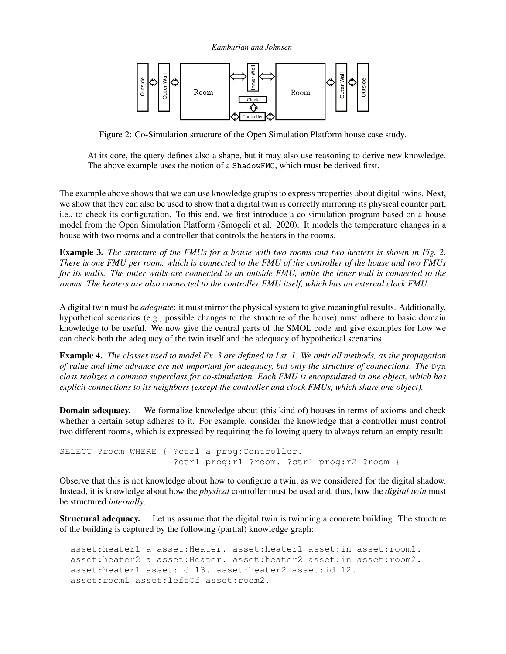*Kamburjan and Johnsen*



<span id="page-7-0"></span>Figure 2: Co-Simulation structure of the Open Simulation Platform house case study.

At its core, the query defines also a shape, but it may also use reasoning to derive new knowledge. The above example uses the notion of a ShadowFMO, which must be derived first.

The example above shows that we can use knowledge graphs to express properties about digital twins. Next, we show that they can also be used to show that a digital twin is correctly mirroring its physical counter part, i.e., to check its configuration. To this end, we first introduce a co-simulation program based on a house model from the Open Simulation Platform [\(Smogeli et al. 2020\)](#page-11-6). It models the temperature changes in a house with two rooms and a controller that controls the heaters in the rooms.

<span id="page-7-1"></span>Example 3. *The structure of the FMUs for a house with two rooms and two heaters is shown in Fig. [2.](#page-7-0) There is one FMU per room, which is connected to the FMU of the controller of the house and two FMUs for its walls. The outer walls are connected to an outside FMU, while the inner wall is connected to the rooms. The heaters are also connected to the controller FMU itself, which has an external clock FMU.*

A digital twin must be *adequate*: it must mirror the physical system to give meaningful results. Additionally, hypothetical scenarios (e.g., possible changes to the structure of the house) must adhere to basic domain knowledge to be useful. We now give the central parts of the SMOL code and give examples for how we can check both the adequacy of the twin itself and the adequacy of hypothetical scenarios.

Example 4. *The classes used to model Ex. [3](#page-7-1) are defined in Lst. [1.](#page-8-1) We omit all methods, as the propagation of value and time advance are not important for adequacy, but only the structure of connections. The* Dyn *class realizes a common superclass for co-simulation. Each FMU is encapsulated in one object, which has explicit connections to its neighbors (except the controller and clock FMUs, which share one object).*

**Domain adequacy.** We formalize knowledge about (this kind of) houses in terms of axioms and check whether a certain setup adheres to it. For example, consider the knowledge that a controller must control two different rooms, which is expressed by requiring the following query to always return an empty result:

```
SELECT ?room WHERE { ?ctrl a prog:Controller.
                     ?ctrl prog:r1 ?room. ?ctrl prog:r2 ?room }
```
Observe that this is not knowledge about how to configure a twin, as we considered for the digital shadow. Instead, it is knowledge about how the *physical* controller must be used and, thus, how the *digital twin* must be structured *internally*.

Structural adequacy. Let us assume that the digital twin is twinning a concrete building. The structure of the building is captured by the following (partial) knowledge graph:

```
asset:heater1 a asset:Heater. asset:heater1 asset:in asset:room1.
asset:heater2 a asset:Heater. asset:heater2 asset:in asset:room2.
asset:heater1 asset:id 13. asset:heater2 asset:id 12.
asset:room1 asset:leftOf asset:room2.
```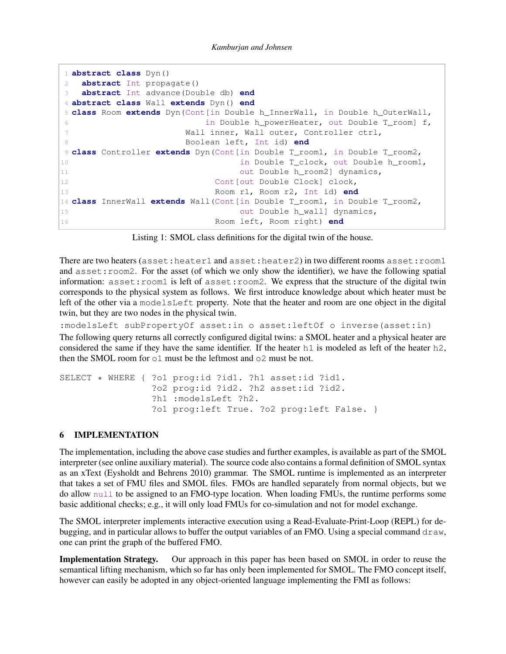```
1 abstract class Dyn()
2 abstract Int propagate()
3 abstract Int advance(Double db) end
4 abstract class Wall extends Dyn() end
5 class Room extends Dyn(Cont[in Double h_InnerWall, in Double h_OuterWall,
6 in Double h_powerHeater, out Double T_room] f,
7 Wall inner, Wall outer, Controller ctrl,
8 Boolean left, Int id) end
9 class Controller extends Dyn(Cont[in Double T_room1, in Double T_room2,
10 in Double T_clock, out Double h_room1,
11 out Double h_room2] dynamics,
12 Cont [out Double Clock] clock,
13 Room r1, Room r2, Int id) end
14 class InnerWall extends Wall(Cont[in Double T_room1, in Double T_room2,
15 out Double h_wall] dynamics,
16 Room left, Room right) end
```
Listing 1: SMOL class definitions for the digital twin of the house.

There are two heaters (asset:heater1 and asset:heater2) in two different rooms asset:room1 and asset: room2. For the asset (of which we only show the identifier), we have the following spatial information:  $\text{assert}: \text{room1}$  is left of  $\text{assert}: \text{room2}.$  We express that the structure of the digital twin corresponds to the physical system as follows. We first introduce knowledge about which heater must be left of the other via a modelsLeft property. Note that the heater and room are one object in the digital twin, but they are two nodes in the physical twin.

:modelsLeft subPropertyOf asset:in o asset:leftOf o inverse(asset:in) The following query returns all correctly configured digital twins: a SMOL heater and a physical heater are considered the same if they have the same identifier. If the heater  $h1$  is modeled as left of the heater  $h2$ , then the SMOL room for  $\circ 1$  must be the leftmost and  $\circ 2$  must be not.

```
SELECT * WHERE { ?o1 prog:id ?id1. ?h1 asset:id ?id1.
                 ?o2 prog:id ?id2. ?h2 asset:id ?id2.
                 ?h1 :modelsLeft ?h2.
                 ?o1 prog:left True. ?o2 prog:left False. }
```
# <span id="page-8-0"></span>6 IMPLEMENTATION

The implementation, including the above case studies and further examples, is available as part of the SMOL interpreter (see online auxiliary material). The source code also contains a formal definition of SMOL syntax as an xText [\(Eysholdt and Behrens 2010\)](#page-10-13) grammar. The SMOL runtime is implemented as an interpreter that takes a set of FMU files and SMOL files. FMOs are handled separately from normal objects, but we do allow null to be assigned to an FMO-type location. When loading FMUs, the runtime performs some basic additional checks; e.g., it will only load FMUs for co-simulation and not for model exchange.

The SMOL interpreter implements interactive execution using a Read-Evaluate-Print-Loop (REPL) for debugging, and in particular allows to buffer the output variables of an FMO. Using a special command  $d$ raw, one can print the graph of the buffered FMO.

Implementation Strategy. Our approach in this paper has been based on SMOL in order to reuse the semantical lifting mechanism, which so far has only been implemented for SMOL. The FMO concept itself, however can easily be adopted in any object-oriented language implementing the FMI as follows: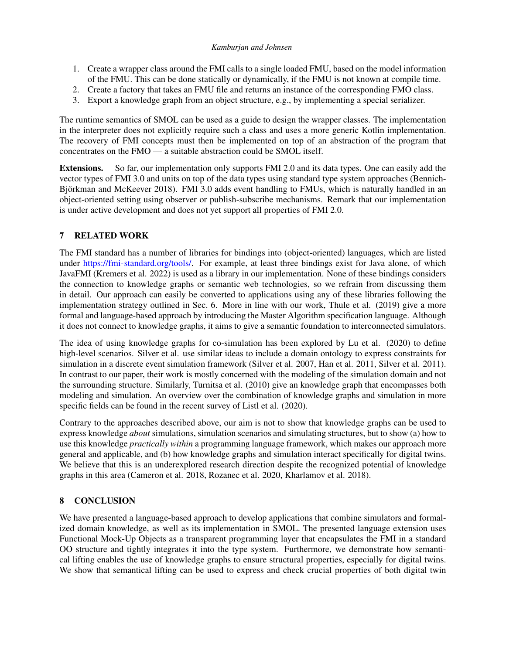- 1. Create a wrapper class around the FMI calls to a single loaded FMU, based on the model information of the FMU. This can be done statically or dynamically, if the FMU is not known at compile time.
- 2. Create a factory that takes an FMU file and returns an instance of the corresponding FMO class.
- 3. Export a knowledge graph from an object structure, e.g., by implementing a special serializer.

The runtime semantics of SMOL can be used as a guide to design the wrapper classes. The implementation in the interpreter does not explicitly require such a class and uses a more generic Kotlin implementation. The recovery of FMI concepts must then be implemented on top of an abstraction of the program that concentrates on the FMO — a suitable abstraction could be SMOL itself.

Extensions. So far, our implementation only supports FMI 2.0 and its data types. One can easily add the vector types of FMI 3.0 and units on top of the data types using standard type system approaches [\(Bennich-](#page-10-14)[Björkman and McKeever 2018\)](#page-10-14). FMI 3.0 adds event handling to FMUs, which is naturally handled in an object-oriented setting using observer or publish-subscribe mechanisms. Remark that our implementation is under active development and does not yet support all properties of FMI 2.0.

# <span id="page-9-0"></span>7 RELATED WORK

The FMI standard has a number of libraries for bindings into (object-oriented) languages, which are listed under [https://fmi-standard.org/tools/.](https://fmi-standard.org/tools/) For example, at least three bindings exist for Java alone, of which JavaFMI [\(Kremers et al. 2022\)](#page-11-13) is used as a library in our implementation. None of these bindings considers the connection to knowledge graphs or semantic web technologies, so we refrain from discussing them in detail. Our approach can easily be converted to applications using any of these libraries following the implementation strategy outlined in Sec. [6.](#page-8-0) More in line with our work, [Thule et al. \(2019\)](#page-11-3) give a more formal and language-based approach by introducing the Master Algorithm specification language. Although it does not connect to knowledge graphs, it aims to give a semantic foundation to interconnected simulators.

The idea of using knowledge graphs for co-simulation has been explored by [Lu et al. \(2020\)](#page-11-14) to define high-level scenarios. Silver et al. use similar ideas to include a domain ontology to express constraints for simulation in a discrete event simulation framework [\(Silver et al. 2007,](#page-11-15) [Han et al. 2011,](#page-10-15) [Silver et al. 2011\)](#page-11-16). In contrast to our paper, their work is mostly concerned with the modeling of the simulation domain and not the surrounding structure. Similarly, [Turnitsa et al. \(2010\)](#page-11-17) give an knowledge graph that encompasses both modeling and simulation. An overview over the combination of knowledge graphs and simulation in more specific fields can be found in the recent survey of [Listl et al. \(2020\).](#page-11-2)

Contrary to the approaches described above, our aim is not to show that knowledge graphs can be used to express knowledge *about* simulations, simulation scenarios and simulating structures, but to show (a) how to use this knowledge *practically within* a programming language framework, which makes our approach more general and applicable, and (b) how knowledge graphs and simulation interact specifically for digital twins. We believe that this is an underexplored research direction despite the recognized potential of knowledge graphs in this area [\(Cameron et al. 2018,](#page-10-2) [Rozanec et al. 2020,](#page-11-0) [Kharlamov et al. 2018\)](#page-11-1).

# <span id="page-9-1"></span>8 CONCLUSION

We have presented a language-based approach to develop applications that combine simulators and formalized domain knowledge, as well as its implementation in SMOL. The presented language extension uses Functional Mock-Up Objects as a transparent programming layer that encapsulates the FMI in a standard OO structure and tightly integrates it into the type system. Furthermore, we demonstrate how semantical lifting enables the use of knowledge graphs to ensure structural properties, especially for digital twins. We show that semantical lifting can be used to express and check crucial properties of both digital twin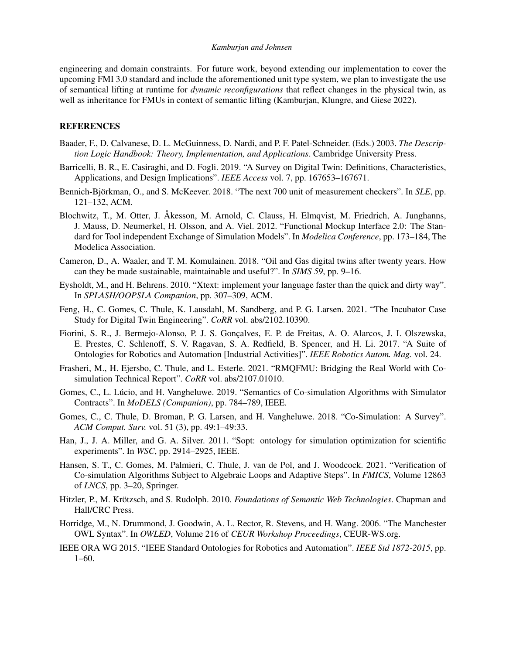engineering and domain constraints. For future work, beyond extending our implementation to cover the upcoming FMI 3.0 standard and include the aforementioned unit type system, we plan to investigate the use of semantical lifting at runtime for *dynamic reconfigurations* that reflect changes in the physical twin, as well as inheritance for FMUs in context of semantic lifting [\(Kamburjan, Klungre, and Giese 2022\)](#page-11-18).

#### REFERENCES

- <span id="page-10-9"></span>Baader, F., D. Calvanese, D. L. McGuinness, D. Nardi, and P. F. Patel-Schneider. (Eds.) 2003. *The Description Logic Handbook: Theory, Implementation, and Applications*. Cambridge University Press.
- <span id="page-10-0"></span>Barricelli, B. R., E. Casiraghi, and D. Fogli. 2019. "A Survey on Digital Twin: Definitions, Characteristics, Applications, and Design Implications". *IEEE Access* vol. 7, pp. 167653–167671.
- <span id="page-10-14"></span>Bennich-Björkman, O., and S. McKeever. 2018. "The next 700 unit of measurement checkers". In *SLE*, pp. 121–132, ACM.
- <span id="page-10-4"></span>Blochwitz, T., M. Otter, J. Åkesson, M. Arnold, C. Clauss, H. Elmqvist, M. Friedrich, A. Junghanns, J. Mauss, D. Neumerkel, H. Olsson, and A. Viel. 2012. "Functional Mockup Interface 2.0: The Standard for Tool independent Exchange of Simulation Models". In *Modelica Conference*, pp. 173–184, The Modelica Association.
- <span id="page-10-2"></span>Cameron, D., A. Waaler, and T. M. Komulainen. 2018. "Oil and Gas digital twins after twenty years. How can they be made sustainable, maintainable and useful?". In *SIMS 59*, pp. 9–16.
- <span id="page-10-13"></span>Eysholdt, M., and H. Behrens. 2010. "Xtext: implement your language faster than the quick and dirty way". In *SPLASH/OOPSLA Companion*, pp. 307–309, ACM.
- <span id="page-10-5"></span>Feng, H., C. Gomes, C. Thule, K. Lausdahl, M. Sandberg, and P. G. Larsen. 2021. "The Incubator Case Study for Digital Twin Engineering". *CoRR* vol. abs/2102.10390.
- <span id="page-10-11"></span>Fiorini, S. R., J. Bermejo-Alonso, P. J. S. Gonçalves, E. P. de Freitas, A. O. Alarcos, J. I. Olszewska, E. Prestes, C. Schlenoff, S. V. Ragavan, S. A. Redfield, B. Spencer, and H. Li. 2017. "A Suite of Ontologies for Robotics and Automation [Industrial Activities]". *IEEE Robotics Autom. Mag.* vol. 24.
- <span id="page-10-6"></span>Frasheri, M., H. Ejersbo, C. Thule, and L. Esterle. 2021. "RMQFMU: Bridging the Real World with Cosimulation Technical Report". *CoRR* vol. abs/2107.01010.
- <span id="page-10-8"></span>Gomes, C., L. Lúcio, and H. Vangheluwe. 2019. "Semantics of Co-simulation Algorithms with Simulator Contracts". In *MoDELS (Companion)*, pp. 784–789, IEEE.
- <span id="page-10-3"></span>Gomes, C., C. Thule, D. Broman, P. G. Larsen, and H. Vangheluwe. 2018. "Co-Simulation: A Survey". *ACM Comput. Surv.* vol. 51 (3), pp. 49:1–49:33.
- <span id="page-10-15"></span>Han, J., J. A. Miller, and G. A. Silver. 2011. "Sopt: ontology for simulation optimization for scientific experiments". In *WSC*, pp. 2914–2925, IEEE.
- <span id="page-10-7"></span>Hansen, S. T., C. Gomes, M. Palmieri, C. Thule, J. van de Pol, and J. Woodcock. 2021. "Verification of Co-simulation Algorithms Subject to Algebraic Loops and Adaptive Steps". In *FMICS*, Volume 12863 of *LNCS*, pp. 3–20, Springer.
- <span id="page-10-1"></span>Hitzler, P., M. Krötzsch, and S. Rudolph. 2010. *Foundations of Semantic Web Technologies*. Chapman and Hall/CRC Press.
- <span id="page-10-12"></span>Horridge, M., N. Drummond, J. Goodwin, A. L. Rector, R. Stevens, and H. Wang. 2006. "The Manchester OWL Syntax". In *OWLED*, Volume 216 of *CEUR Workshop Proceedings*, CEUR-WS.org.
- <span id="page-10-10"></span>IEEE ORA WG 2015. "IEEE Standard Ontologies for Robotics and Automation". *IEEE Std 1872-2015*, pp.  $1-60.$